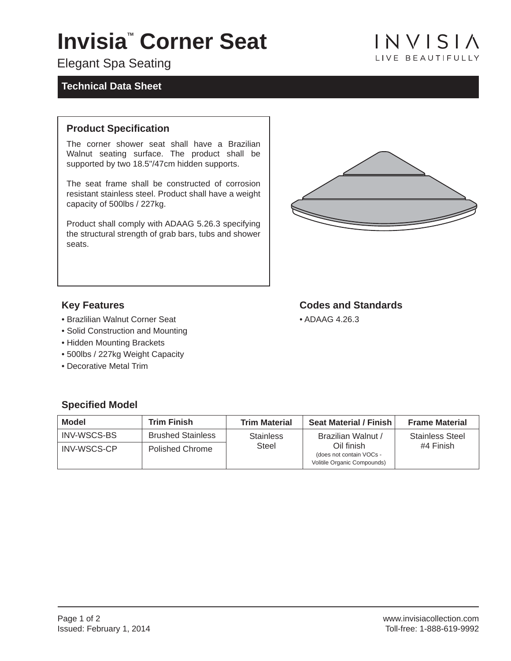# **Invisia<sup>"</sup> Corner Seat**

## Elegant Spa Seating

#### **Technical Data Sheet**

# $INVISIA$ **I IVE BEAUTIFULLY**

#### **Product Specification**

The corner shower seat shall have a Brazilian Walnut seating surface. The product shall be supported by two 18.5"/47cm hidden supports.

The seat frame shall be constructed of corrosion resistant stainless steel. Product shall have a weight capacity of 500lbs / 227kg.

Product shall comply with ADAAG 5.26.3 specifying the structural strength of grab bars, tubs and shower seats.



**Codes and Standards**

• ADAAG 4.26.3

#### **Key Features**

- Brazlilian Walnut Corner Seat
- Solid Construction and Mounting
- Hidden Mounting Brackets
- 500lbs / 227kg Weight Capacity
- Decorative Metal Trim

## **Specified Model**

| <b>Model</b>       | <b>Trim Finish</b>       | <b>Trim Material</b> | <b>Seat Material / Finish</b>                                                               | <b>Frame Material</b>               |
|--------------------|--------------------------|----------------------|---------------------------------------------------------------------------------------------|-------------------------------------|
| INV-WSCS-BS        | <b>Brushed Stainless</b> | <b>Stainless</b>     | Brazilian Walnut /<br>Oil finish<br>(does not contain VOCs -<br>Volitile Organic Compounds) | <b>Stainless Steel</b><br>#4 Finish |
| <b>INV-WSCS-CP</b> | <b>Polished Chrome</b>   | Steel                |                                                                                             |                                     |